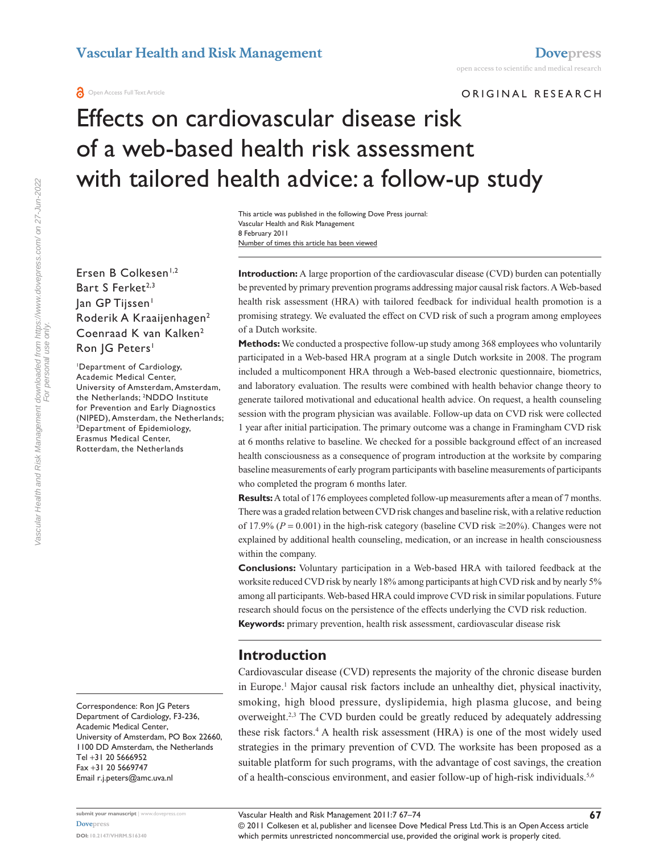ORIGINAL RESEARCH

# Effects on cardiovascular disease risk of a web-based health risk assessment with tailored health advice: a follow-up study

Number of times this article has been viewed This article was published in the following Dove Press journal: Vascular Health and Risk Management 8 February 2011

Ersen B Colkesen<sup>1,2</sup> Bart S Ferket<sup>2,3</sup> Jan GP Tijssen<sup>1</sup> Roderik A Kraaijenhagen2 Coenraad K van Kalken<sup>2</sup> Ron JG Peters<sup>1</sup>

1 Department of Cardiology, Academic Medical Center, University of Amsterdam, Amsterdam, the Netherlands; 2 NDDO Institute for Prevention and Early Diagnostics (NIPED), Amsterdam, the Netherlands; 3 Department of Epidemiology, Erasmus Medical Center, Rotterdam, the Netherlands

Correspondence: Ron JG Peters Department of Cardiology, F3-236, Academic Medical Center, University of Amsterdam, PO Box 22660, 1100 DD Amsterdam, the Netherlands Tel +31 20 5666952 Fax +31 20 5669747 Email [r.j.peters@amc.uva.nl](mailto:r.j.peters@amc.uva.nl)

**Introduction:** A large proportion of the cardiovascular disease (CVD) burden can potentially be prevented by primary prevention programs addressing major causal risk factors. A Web-based health risk assessment (HRA) with tailored feedback for individual health promotion is a promising strategy. We evaluated the effect on CVD risk of such a program among employees of a Dutch worksite.

**Methods:** We conducted a prospective follow-up study among 368 employees who voluntarily participated in a Web-based HRA program at a single Dutch worksite in 2008. The program included a multicomponent HRA through a Web-based electronic questionnaire, biometrics, and laboratory evaluation. The results were combined with health behavior change theory to generate tailored motivational and educational health advice. On request, a health counseling session with the program physician was available. Follow-up data on CVD risk were collected 1 year after initial participation. The primary outcome was a change in Framingham CVD risk at 6 months relative to baseline. We checked for a possible background effect of an increased health consciousness as a consequence of program introduction at the worksite by comparing baseline measurements of early program participants with baseline measurements of participants who completed the program 6 months later.

**Results:** A total of 176 employees completed follow-up measurements after a mean of 7 months. There was a graded relation between CVD risk changes and baseline risk, with a relative reduction of 17.9% ( $P = 0.001$ ) in the high-risk category (baseline CVD risk  $\geq 20\%$ ). Changes were not explained by additional health counseling, medication, or an increase in health consciousness within the company.

**Conclusions:** Voluntary participation in a Web-based HRA with tailored feedback at the worksite reduced CVD risk by nearly 18% among participants at high CVD risk and by nearly 5% among all participants. Web-based HRA could improve CVD risk in similar populations. Future research should focus on the persistence of the effects underlying the CVD risk reduction. **Keywords:** primary prevention, health risk assessment, cardiovascular disease risk

# **Introduction**

Cardiovascular disease (CVD) represents the majority of the chronic disease burden in Europe.<sup>1</sup> Major causal risk factors include an unhealthy diet, physical inactivity, smoking, high blood pressure, dyslipidemia, high plasma glucose, and being overweight.<sup>2,3</sup> The CVD burden could be greatly reduced by adequately addressing these risk factors.4 A health risk assessment (HRA) is one of the most widely used strategies in the primary prevention of CVD. The worksite has been proposed as a suitable platform for such programs, with the advantage of cost savings, the creation of a health-conscious environment, and easier follow-up of high-risk individuals.5,6

**submit your manuscript** | <www.dovepress.com>

© 2011 Colkesen et al, publisher and licensee Dove Medical Press Ltd. This is an Open Access article which permits unrestricted noncommercial use, provided the original work is properly cited.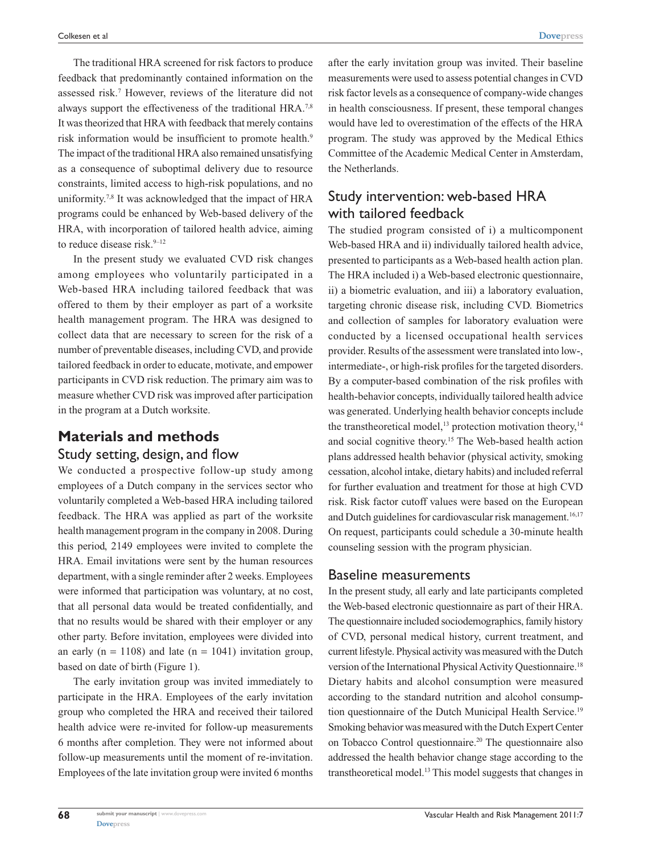The traditional HRA screened for risk factors to produce feedback that predominantly contained information on the assessed risk.7 However, reviews of the literature did not always support the effectiveness of the traditional HRA.7,8 It was theorized that HRA with feedback that merely contains risk information would be insufficient to promote health.<sup>9</sup> The impact of the traditional HRA also remained unsatisfying as a consequence of suboptimal delivery due to resource constraints, limited access to high-risk populations, and no uniformity.<sup>7,8</sup> It was acknowledged that the impact of HRA programs could be enhanced by Web-based delivery of the HRA, with incorporation of tailored health advice, aiming to reduce disease risk.<sup>9-12</sup>

In the present study we evaluated CVD risk changes among employees who voluntarily participated in a Web-based HRA including tailored feedback that was offered to them by their employer as part of a worksite health management program. The HRA was designed to collect data that are necessary to screen for the risk of a number of preventable diseases, including CVD, and provide tailored feedback in order to educate, motivate, and empower participants in CVD risk reduction. The primary aim was to measure whether CVD risk was improved after participation in the program at a Dutch worksite.

# **Materials and methods** Study setting, design, and flow

We conducted a prospective follow-up study among employees of a Dutch company in the services sector who voluntarily completed a Web-based HRA including tailored feedback. The HRA was applied as part of the worksite health management program in the company in 2008. During this period, 2149 employees were invited to complete the HRA. Email invitations were sent by the human resources department, with a single reminder after 2 weeks. Employees were informed that participation was voluntary, at no cost, that all personal data would be treated confidentially, and that no results would be shared with their employer or any other party. Before invitation, employees were divided into an early ( $n = 1108$ ) and late ( $n = 1041$ ) invitation group, based on date of birth (Figure 1).

The early invitation group was invited immediately to participate in the HRA. Employees of the early invitation group who completed the HRA and received their tailored health advice were re-invited for follow-up measurements 6 months after completion. They were not informed about follow-up measurements until the moment of re-invitation. Employees of the late invitation group were invited 6 months after the early invitation group was invited. Their baseline measurements were used to assess potential changes in CVD risk factor levels as a consequence of company-wide changes in health consciousness. If present, these temporal changes would have led to overestimation of the effects of the HRA program. The study was approved by the Medical Ethics Committee of the Academic Medical Center in Amsterdam, the Netherlands.

# Study intervention: web-based HRA with tailored feedback

The studied program consisted of i) a multicomponent Web-based HRA and ii) individually tailored health advice, presented to participants as a Web-based health action plan. The HRA included i) a Web-based electronic questionnaire, ii) a biometric evaluation, and iii) a laboratory evaluation, targeting chronic disease risk, including CVD. Biometrics and collection of samples for laboratory evaluation were conducted by a licensed occupational health services provider. Results of the assessment were translated into low-, intermediate-, or high-risk profiles for the targeted disorders. By a computer-based combination of the risk profiles with health-behavior concepts, individually tailored health advice was generated. Underlying health behavior concepts include the transtheoretical model,<sup>13</sup> protection motivation theory,<sup>14</sup> and social cognitive theory.15 The Web-based health action plans addressed health behavior (physical activity, smoking cessation, alcohol intake, dietary habits) and included referral for further evaluation and treatment for those at high CVD risk. Risk factor cutoff values were based on the European and Dutch guidelines for cardiovascular risk management.<sup>16,17</sup> On request, participants could schedule a 30-minute health counseling session with the program physician.

### Baseline measurements

In the present study, all early and late participants completed the Web-based electronic questionnaire as part of their HRA. The questionnaire included sociodemographics, family history of CVD, personal medical history, current treatment, and current lifestyle. Physical activity was measured with the Dutch version of the International Physical Activity Questionnaire.<sup>18</sup> Dietary habits and alcohol consumption were measured according to the standard nutrition and alcohol consumption questionnaire of the Dutch Municipal Health Service.19 Smoking behavior was measured with the Dutch Expert Center on Tobacco Control questionnaire.20 The questionnaire also addressed the health behavior change stage according to the transtheoretical model.13 This model suggests that changes in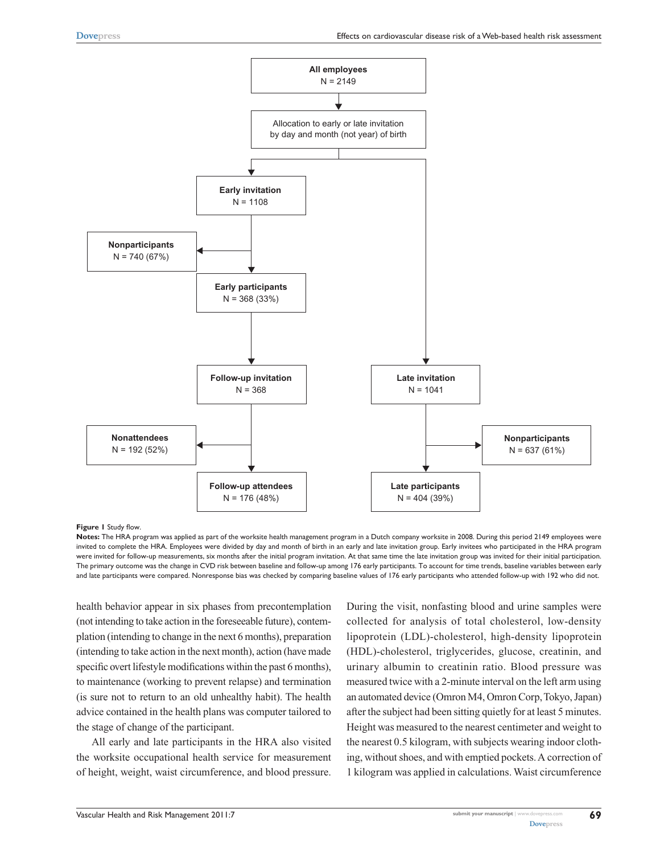

#### **Figure 1** Study flow.

**Notes:** The HRA program was applied as part of the worksite health management program in a Dutch company worksite in 2008. During this period 2149 employees were invited to complete the HRA. Employees were divided by day and month of birth in an early and late invitation group. Early invitees who participated in the HRA program were invited for follow-up measurements, six months after the initial program invitation. At that same time the late invitation group was invited for their initial participation. The primary outcome was the change in CVD risk between baseline and follow-up among 176 early participants. To account for time trends, baseline variables between early and late participants were compared. Nonresponse bias was checked by comparing baseline values of 176 early participants who attended follow-up with 192 who did not.

health behavior appear in six phases from precontemplation (not intending to take action in the foreseeable future), contemplation (intending to change in the next 6 months), preparation (intending to take action in the next month), action (have made specific overt lifestyle modifications within the past 6 months), to maintenance (working to prevent relapse) and termination (is sure not to return to an old unhealthy habit). The health advice contained in the health plans was computer tailored to the stage of change of the participant.

All early and late participants in the HRA also visited the worksite occupational health service for measurement of height, weight, waist circumference, and blood pressure.

During the visit, nonfasting blood and urine samples were collected for analysis of total cholesterol, low-density lipoprotein (LDL)-cholesterol, high-density lipoprotein (HDL)-cholesterol, triglycerides, glucose, creatinin, and urinary albumin to creatinin ratio. Blood pressure was measured twice with a 2-minute interval on the left arm using an automated device (Omron M4, Omron Corp, Tokyo, Japan) after the subject had been sitting quietly for at least 5 minutes. Height was measured to the nearest centimeter and weight to the nearest 0.5 kilogram, with subjects wearing indoor clothing, without shoes, and with emptied pockets. A correction of 1 kilogram was applied in calculations. Waist circumference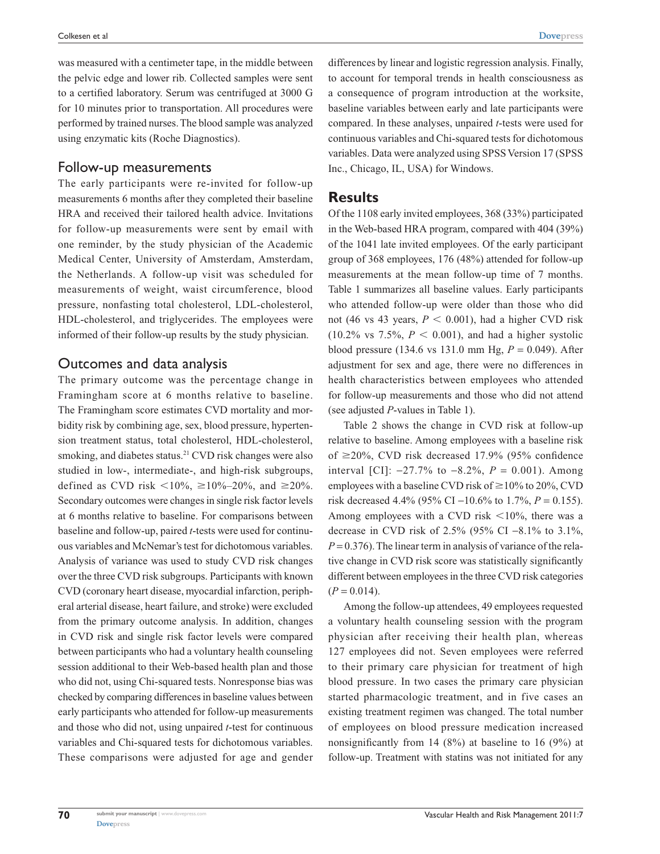was measured with a centimeter tape, in the middle between the pelvic edge and lower rib. Collected samples were sent to a certified laboratory. Serum was centrifuged at 3000 G for 10 minutes prior to transportation. All procedures were performed by trained nurses. The blood sample was analyzed using enzymatic kits (Roche Diagnostics).

#### Follow-up measurements

The early participants were re-invited for follow-up measurements 6 months after they completed their baseline HRA and received their tailored health advice. Invitations for follow-up measurements were sent by email with one reminder, by the study physician of the Academic Medical Center, University of Amsterdam, Amsterdam, the Netherlands. A follow-up visit was scheduled for measurements of weight, waist circumference, blood pressure, nonfasting total cholesterol, LDL-cholesterol, HDL-cholesterol, and triglycerides. The employees were informed of their follow-up results by the study physician.

## Outcomes and data analysis

The primary outcome was the percentage change in Framingham score at 6 months relative to baseline. The Framingham score estimates CVD mortality and morbidity risk by combining age, sex, blood pressure, hypertension treatment status, total cholesterol, HDL-cholesterol, smoking, and diabetes status.<sup>21</sup> CVD risk changes were also studied in low-, intermediate-, and high-risk subgroups, defined as CVD risk  $\langle 10\%, \ge 10\% - 20\%, \text{ and } \ge 20\%$ . Secondary outcomes were changes in single risk factor levels at 6 months relative to baseline. For comparisons between baseline and follow-up, paired *t*-tests were used for continuous variables and McNemar's test for dichotomous variables. Analysis of variance was used to study CVD risk changes over the three CVD risk subgroups. Participants with known CVD (coronary heart disease, myocardial infarction, peripheral arterial disease, heart failure, and stroke) were excluded from the primary outcome analysis. In addition, changes in CVD risk and single risk factor levels were compared between participants who had a voluntary health counseling session additional to their Web-based health plan and those who did not, using Chi-squared tests. Nonresponse bias was checked by comparing differences in baseline values between early participants who attended for follow-up measurements and those who did not, using unpaired *t*-test for continuous variables and Chi-squared tests for dichotomous variables. These comparisons were adjusted for age and gender differences by linear and logistic regression analysis. Finally, to account for temporal trends in health consciousness as a consequence of program introduction at the worksite, baseline variables between early and late participants were compared. In these analyses, unpaired *t*-tests were used for continuous variables and Chi-squared tests for dichotomous variables. Data were analyzed using SPSS Version 17 (SPSS Inc., Chicago, IL, USA) for Windows.

## **Results**

Of the 1108 early invited employees, 368 (33%) participated in the Web-based HRA program, compared with 404 (39%) of the 1041 late invited employees. Of the early participant group of 368 employees, 176 (48%) attended for follow-up measurements at the mean follow-up time of 7 months. Table 1 summarizes all baseline values. Early participants who attended follow-up were older than those who did not (46 vs 43 years,  $P < 0.001$ ), had a higher CVD risk  $(10.2\% \text{ vs } 7.5\%, P < 0.001)$ , and had a higher systolic blood pressure (134.6 vs 131.0 mm Hg, *P* = 0.049). After adjustment for sex and age, there were no differences in health characteristics between employees who attended for follow-up measurements and those who did not attend (see adjusted *P*-values in Table 1).

Table 2 shows the change in CVD risk at follow-up relative to baseline. Among employees with a baseline risk of  $\geq$ 20%, CVD risk decreased 17.9% (95% confidence interval [CI]:  $-27.7\%$  to  $-8.2\%$ ,  $P = 0.001$ ). Among employees with a baseline CVD risk of  $\geq$  10% to 20%, CVD risk decreased 4.4% (95% CI −10.6% to 1.7%, *P* = 0.155). Among employees with a CVD risk  $<$ 10%, there was a decrease in CVD risk of 2.5% (95% CI −8.1% to 3.1%,  $P = 0.376$ . The linear term in analysis of variance of the relative change in CVD risk score was statistically significantly different between employees in the three CVD risk categories  $(P = 0.014)$ .

Among the follow-up attendees, 49 employees requested a voluntary health counseling session with the program physician after receiving their health plan, whereas 127 employees did not. Seven employees were referred to their primary care physician for treatment of high blood pressure. In two cases the primary care physician started pharmacologic treatment, and in five cases an existing treatment regimen was changed. The total number of employees on blood pressure medication increased nonsignificantly from 14 (8%) at baseline to 16 (9%) at follow-up. Treatment with statins was not initiated for any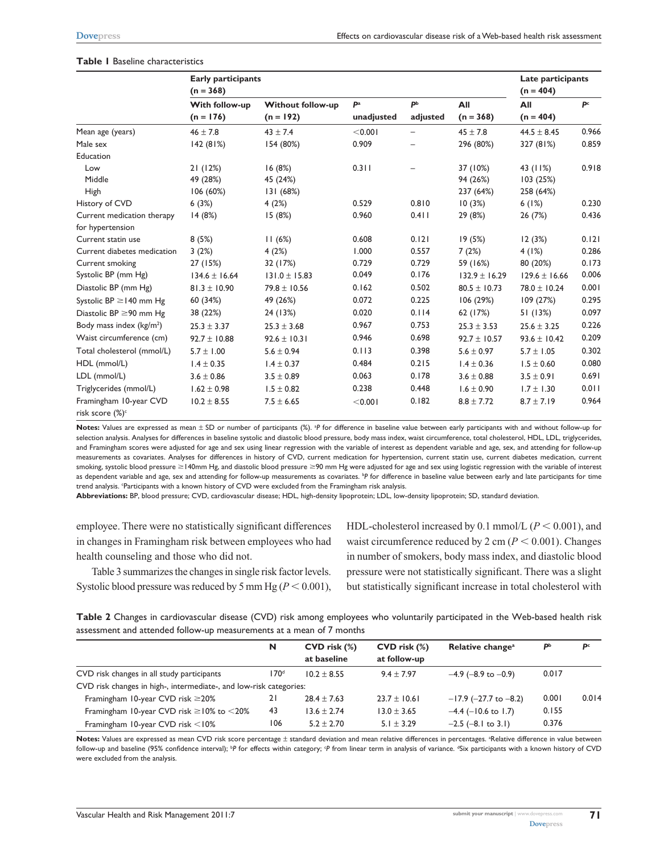|  | <b>Table I</b> Baseline characteristics |
|--|-----------------------------------------|
|  |                                         |

|                                                       | <b>Early participants</b><br>$(n = 368)$ |                          |            |                |                   | Late participants<br>$(n = 404)$ |                |
|-------------------------------------------------------|------------------------------------------|--------------------------|------------|----------------|-------------------|----------------------------------|----------------|
|                                                       | With follow-up                           | <b>Without follow-up</b> | Pa         | P <sub>b</sub> | All               | All                              | P <sup>c</sup> |
|                                                       | $(n = 176)$                              | $(n = 192)$              | unadjusted | adjusted       | $(n = 368)$       | $(n = 404)$                      |                |
| Mean age (years)                                      | $46 \pm 7.8$                             | $43 \pm 7.4$             | < 0.001    |                | $45 \pm 7.8$      | $44.5 \pm 8.45$                  | 0.966          |
| Male sex                                              | 142(81%)                                 | 154 (80%)                | 0.909      |                | 296 (80%)         | 327 (81%)                        | 0.859          |
| Education                                             |                                          |                          |            |                |                   |                                  |                |
| Low                                                   | 21(12%)                                  | 16(8%)                   | 0.311      |                | 37 (10%)          | 43 (11%)                         | 0.918          |
| Middle                                                | 49 (28%)                                 | 45 (24%)                 |            |                | 94 (26%)          | 103(25%)                         |                |
| High                                                  | 106(60%)                                 | 131(68%)                 |            |                | 237 (64%)         | 258 (64%)                        |                |
| History of CVD                                        | 6(3%)                                    | 4(2%)                    | 0.529      | 0.810          | 10(3%)            | 6(1%)                            | 0.230          |
| Current medication therapy                            | 14(8%)                                   | 15(8%)                   | 0.960      | 0.411          | 29 (8%)           | 26 (7%)                          | 0.436          |
| for hypertension                                      |                                          |                          |            |                |                   |                                  |                |
| Current statin use                                    | 8(5%)                                    | 11(6%)                   | 0.608      | 0.121          | 19(5%)            | 12(3%)                           | 0.121          |
| Current diabetes medication                           | 3(2%)                                    | 4(2%)                    | 1.000      | 0.557          | 7(2%)             | 4(1%)                            | 0.286          |
| Current smoking                                       | 27 (15%)                                 | 32 (17%)                 | 0.729      | 0.729          | 59 (16%)          | 80 (20%)                         | 0.173          |
| Systolic BP (mm Hg)                                   | $134.6 \pm 16.64$                        | $131.0 \pm 15.83$        | 0.049      | 0.176          | $132.9 \pm 16.29$ | $129.6 \pm 16.66$                | 0.006          |
| Diastolic BP (mm Hg)                                  | $81.3 \pm 10.90$                         | $79.8 \pm 10.56$         | 0.162      | 0.502          | $80.5 \pm 10.73$  | $78.0 \pm 10.24$                 | 0.001          |
| Systolic BP $\geq$ 140 mm Hg                          | 60 (34%)                                 | 49 (26%)                 | 0.072      | 0.225          | 106(29%)          | 109(27%)                         | 0.295          |
| Diastolic BP $\geq$ 90 mm Hg                          | 38 (22%)                                 | 24 (13%)                 | 0.020      | 0.114          | 62 (17%)          | 51 (13%)                         | 0.097          |
| Body mass index $(kg/m2)$                             | $25.3 \pm 3.37$                          | $25.3 \pm 3.68$          | 0.967      | 0.753          | $25.3 \pm 3.53$   | $25.6 \pm 3.25$                  | 0.226          |
| Waist circumference (cm)                              | $92.7 \pm 10.88$                         | $92.6 \pm 10.31$         | 0.946      | 0.698          | $92.7 \pm 10.57$  | $93.6 \pm 10.42$                 | 0.209          |
| Total cholesterol (mmol/L)                            | $5.7 \pm 1.00$                           | $5.6 \pm 0.94$           | 0.113      | 0.398          | $5.6 \pm 0.97$    | $5.7 \pm 1.05$                   | 0.302          |
| HDL (mmol/L)                                          | $1.4 \pm 0.35$                           | $1.4 \pm 0.37$           | 0.484      | 0.215          | $1.4 \pm 0.36$    | $1.5 \pm 0.60$                   | 0.080          |
| LDL (mmol/L)                                          | $3.6 \pm 0.86$                           | $3.5 \pm 0.89$           | 0.063      | 0.178          | $3.6 \pm 0.88$    | $3.5 \pm 0.91$                   | 0.691          |
| Triglycerides (mmol/L)                                | $1.62 \pm 0.98$                          | $1.5 \pm 0.82$           | 0.238      | 0.448          | $1.6 \pm 0.90$    | $1.7 \pm 1.30$                   | 0.011          |
| Framingham 10-year CVD<br>risk score (%) <sup>c</sup> | $10.2 \pm 8.55$                          | $7.5 \pm 6.65$           | < 0.001    | 0.182          | $8.8 \pm 7.72$    | $8.7 \pm 7.19$                   | 0.964          |

Notes: Values are expressed as mean ± SD or number of participants (%). <sup>3</sup>P for difference in baseline value between early participants with and without follow-up for selection analysis. Analyses for differences in baseline systolic and diastolic blood pressure, body mass index, waist circumference, total cholesterol, HDL, LDL, triglycerides, and Framingham scores were adjusted for age and sex using linear regression with the variable of interest as dependent variable and age, sex, and attending for follow-up measurements as covariates. Analyses for differences in history of CVD, current medication for hypertension, current statin use, current diabetes medication, current smoking, systolic blood pressure ≥140mm Hg, and diastolic blood pressure ≥90 mm Hg were adjusted for age and sex using logistic regression with the variable of interest as dependent variable and age, sex and attending for follow-up measurements as covariates. <sup>b</sup>P for difference in baseline value between early and late participants for time trend analysis. Participants with a known history of CVD were excluded from the Framingham risk analysis.

**Abbreviations:** BP, blood pressure; CVD, cardiovascular disease; HDL, high-density lipoprotein; LDL, low-density lipoprotein; SD, standard deviation.

employee. There were no statistically significant differences in changes in Framingham risk between employees who had health counseling and those who did not.

Table 3 summarizes the changes in single risk factor levels. Systolic blood pressure was reduced by 5 mm Hg ( $P < 0.001$ ), HDL-cholesterol increased by 0.1 mmol/L  $(P < 0.001)$ , and waist circumference reduced by 2 cm  $(P < 0.001)$ . Changes in number of smokers, body mass index, and diastolic blood pressure were not statistically significant. There was a slight but statistically significant increase in total cholesterol with

**Table 2** Changes in cardiovascular disease (CVD) risk among employees who voluntarily participated in the Web-based health risk assessment and attended follow-up measurements at a mean of 7 months

|                                                                    | N                | $CVD$ risk $(\%)$<br>at baseline | $CVD$ risk $(\%)$<br>at follow-up | Relative change <sup>a</sup> | P <sub>p</sub> | p     |
|--------------------------------------------------------------------|------------------|----------------------------------|-----------------------------------|------------------------------|----------------|-------|
| CVD risk changes in all study participants                         | 170 <sup>d</sup> | $10.2 \pm 8.55$                  | $9.4 \pm 7.97$                    | $-4.9$ (-8.9 to $-0.9$ )     | 0.017          |       |
| CVD risk changes in high-, intermediate-, and low-risk categories: |                  |                                  |                                   |                              |                |       |
| Framingham 10-year CVD risk $\geq$ 20%                             | 21               | $28.4 \pm 7.63$                  | $23.7 \pm 10.61$                  | $-17.9$ (-27.7 to -8.2)      | 0.001          | 0.014 |
| Framingham 10-year CVD risk $\geq$ 10% to $\leq$ 20%               | 43               | $13.6 \pm 2.74$                  | $13.0 \pm 3.65$                   | $-4.4$ (-10.6 to 1.7)        | 0.155          |       |
| Framingham $10$ -year CVD risk $<$ 10%                             | 106              | $5.2 \pm 2.70$                   | $5.1 \pm 3.29$                    | $-2.5$ ( $-8.1$ to 3.1)      | 0.376          |       |

Notes: Values are expressed as mean CVD risk score percentage ± standard deviation and mean relative differences in percentages. <sup>a</sup>Relative difference in value between follow-up and baseline (95% confidence interval); <sup>b</sup>P for effects within category; <sup>c</sup>P from linear term in analysis of variance. <sup>a</sup>Six participants with a known history of CVD were excluded from the analysis.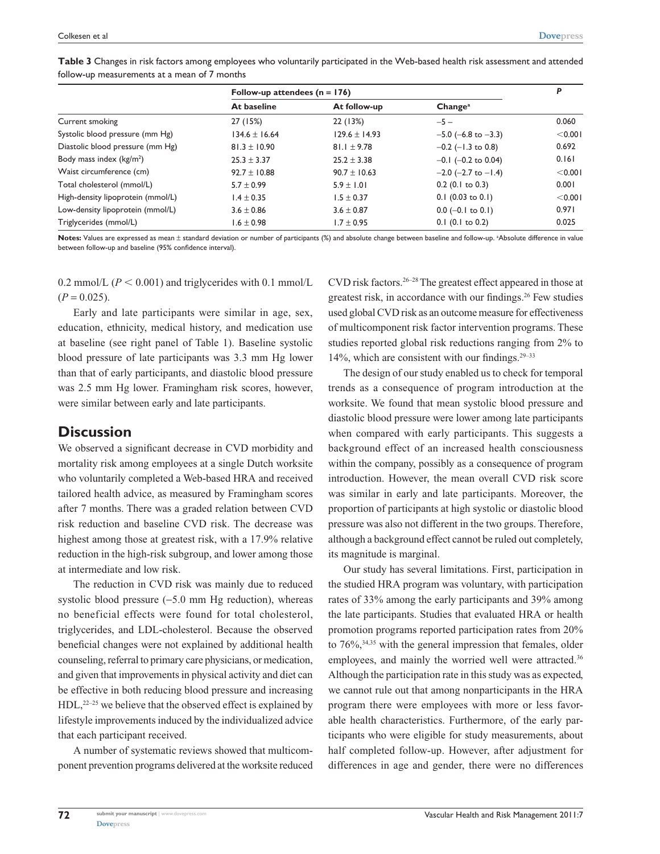|                                              | Table 3 Changes in risk factors among employees who voluntarily participated in the Web-based health risk assessment and attended |  |  |  |
|----------------------------------------------|-----------------------------------------------------------------------------------------------------------------------------------|--|--|--|
| follow-up measurements at a mean of 7 months |                                                                                                                                   |  |  |  |

|                                   | Follow-up attendees $(n = 176)$ |                   |                             |         |  |
|-----------------------------------|---------------------------------|-------------------|-----------------------------|---------|--|
|                                   | At baseline                     | At follow-up      | Change <sup>a</sup>         |         |  |
| Current smoking                   | 27 (15%)                        | 22 (13%)          | $-5-$                       | 0.060   |  |
| Systolic blood pressure (mm Hg)   | $134.6 \pm 16.64$               | $129.6 \pm 14.93$ | $-5.0$ (-6.8 to $-3.3$ )    | < 0.001 |  |
| Diastolic blood pressure (mm Hg)  | $81.3 \pm 10.90$                | $81.1 \pm 9.78$   | $-0.2$ ( $-1.3$ to 0.8)     | 0.692   |  |
| Body mass index $(kg/m2)$         | $25.3 \pm 3.37$                 | $25.2 \pm 3.38$   | $-0.1$ ( $-0.2$ to 0.04)    | 0.161   |  |
| Waist circumference (cm)          | $92.7 \pm 10.88$                | $90.7 \pm 10.63$  | $-2.0$ ( $-2.7$ to $-1.4$ ) | < 0.001 |  |
| Total cholesterol (mmol/L)        | $5.7 \pm 0.99$                  | $5.9 \pm 1.01$    | $0.2$ (0.1 to 0.3)          | 0.001   |  |
| High-density lipoprotein (mmol/L) | $1.4 \pm 0.35$                  | $1.5 \pm 0.37$    | $0.1$ (0.03 to 0.1)         | < 0.001 |  |
| Low-density lipoprotein (mmol/L)  | $3.6 \pm 0.86$                  | $3.6 \pm 0.87$    | $0.0$ (-0.1 to 0.1)         | 0.971   |  |
| Triglycerides (mmol/L)            | $1.6 \pm 0.98$                  | $1.7 \pm 0.95$    | $0.1$ (0.1 to 0.2)          | 0.025   |  |

Notes: Values are expressed as mean ± standard deviation or number of participants (%) and absolute change between baseline and follow-up. <sup>a</sup>Absolute difference in value between follow-up and baseline (95% confidence interval).

0.2 mmol/L  $(P < 0.001)$  and triglycerides with 0.1 mmol/L  $(P = 0.025)$ .

Early and late participants were similar in age, sex, education, ethnicity, medical history, and medication use at baseline (see right panel of Table 1). Baseline systolic blood pressure of late participants was 3.3 mm Hg lower than that of early participants, and diastolic blood pressure was 2.5 mm Hg lower. Framingham risk scores, however, were similar between early and late participants.

# **Discussion**

We observed a significant decrease in CVD morbidity and mortality risk among employees at a single Dutch worksite who voluntarily completed a Web-based HRA and received tailored health advice, as measured by Framingham scores after 7 months. There was a graded relation between CVD risk reduction and baseline CVD risk. The decrease was highest among those at greatest risk, with a 17.9% relative reduction in the high-risk subgroup, and lower among those at intermediate and low risk.

The reduction in CVD risk was mainly due to reduced systolic blood pressure (−5.0 mm Hg reduction), whereas no beneficial effects were found for total cholesterol, triglycerides, and LDL-cholesterol. Because the observed beneficial changes were not explained by additional health counseling, referral to primary care physicians, or medication, and given that improvements in physical activity and diet can be effective in both reducing blood pressure and increasing  $HDL$ ,<sup>22–25</sup> we believe that the observed effect is explained by lifestyle improvements induced by the individualized advice that each participant received.

A number of systematic reviews showed that multicomponent prevention programs delivered at the worksite reduced

CVD risk factors.26–28 The greatest effect appeared in those at greatest risk, in accordance with our findings.26 Few studies used global CVD risk as an outcome measure for effectiveness of multicomponent risk factor intervention programs. These studies reported global risk reductions ranging from 2% to 14%, which are consistent with our findings.29–33

The design of our study enabled us to check for temporal trends as a consequence of program introduction at the worksite. We found that mean systolic blood pressure and diastolic blood pressure were lower among late participants when compared with early participants. This suggests a background effect of an increased health consciousness within the company, possibly as a consequence of program introduction. However, the mean overall CVD risk score was similar in early and late participants. Moreover, the proportion of participants at high systolic or diastolic blood pressure was also not different in the two groups. Therefore, although a background effect cannot be ruled out completely, its magnitude is marginal.

Our study has several limitations. First, participation in the studied HRA program was voluntary, with participation rates of 33% among the early participants and 39% among the late participants. Studies that evaluated HRA or health promotion programs reported participation rates from 20% to 76%,34,35 with the general impression that females, older employees, and mainly the worried well were attracted.<sup>36</sup> Although the participation rate in this study was as expected, we cannot rule out that among nonparticipants in the HRA program there were employees with more or less favorable health characteristics. Furthermore, of the early participants who were eligible for study measurements, about half completed follow-up. However, after adjustment for differences in age and gender, there were no differences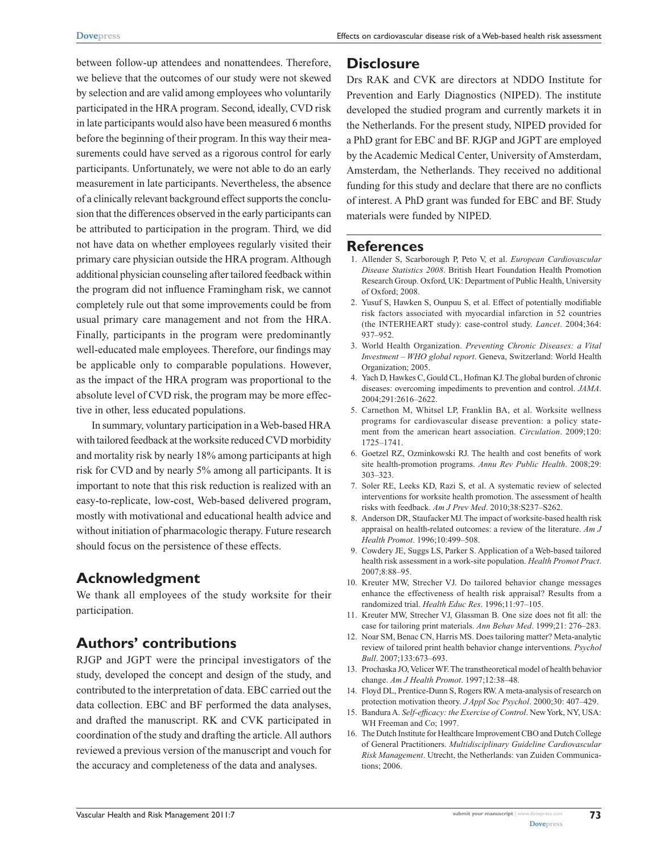between follow-up attendees and nonattendees. Therefore, we believe that the outcomes of our study were not skewed by selection and are valid among employees who voluntarily participated in the HRA program. Second, ideally, CVD risk in late participants would also have been measured 6 months before the beginning of their program. In this way their measurements could have served as a rigorous control for early participants. Unfortunately, we were not able to do an early measurement in late participants. Nevertheless, the absence of a clinically relevant background effect supports the conclusion that the differences observed in the early participants can be attributed to participation in the program. Third, we did not have data on whether employees regularly visited their primary care physician outside the HRA program. Although additional physician counseling after tailored feedback within the program did not influence Framingham risk, we cannot completely rule out that some improvements could be from usual primary care management and not from the HRA. Finally, participants in the program were predominantly well-educated male employees. Therefore, our findings may be applicable only to comparable populations. However, as the impact of the HRA program was proportional to the absolute level of CVD risk, the program may be more effective in other, less educated populations.

In summary, voluntary participation in a Web-based HRA with tailored feedback at the worksite reduced CVD morbidity and mortality risk by nearly 18% among participants at high risk for CVD and by nearly 5% among all participants. It is important to note that this risk reduction is realized with an easy-to-replicate, low-cost, Web-based delivered program, mostly with motivational and educational health advice and without initiation of pharmacologic therapy. Future research should focus on the persistence of these effects.

# **Acknowledgment**

We thank all employees of the study worksite for their participation.

## **Authors' contributions**

RJGP and JGPT were the principal investigators of the study, developed the concept and design of the study, and contributed to the interpretation of data. EBC carried out the data collection. EBC and BF performed the data analyses, and drafted the manuscript. RK and CVK participated in coordination of the study and drafting the article. All authors reviewed a previous version of the manuscript and vouch for the accuracy and completeness of the data and analyses.

# **Disclosure**

Drs RAK and CVK are directors at NDDO Institute for Prevention and Early Diagnostics (NIPED). The institute developed the studied program and currently markets it in the Netherlands. For the present study, NIPED provided for a PhD grant for EBC and BF. RJGP and JGPT are employed by the Academic Medical Center, University of Amsterdam, Amsterdam, the Netherlands. They received no additional funding for this study and declare that there are no conflicts of interest. A PhD grant was funded for EBC and BF. Study materials were funded by NIPED.

#### **References**

- 1. Allender S, Scarborough P, Peto V, et al. *European Cardiovascular Disease Statistics 2008*. British Heart Foundation Health Promotion Research Group. Oxford, UK: Department of Public Health, University of Oxford; 2008.
- 2. Yusuf S, Hawken S, Ounpuu S, et al. Effect of potentially modifiable risk factors associated with myocardial infarction in 52 countries (the INTERHEART study): case-control study. *Lancet*. 2004;364: 937–952.
- 3. World Health Organization. *Preventing Chronic Diseases: a Vital Investment – WHO global report*. Geneva, Switzerland: World Health Organization; 2005.
- 4. Yach D, Hawkes C, Gould CL, Hofman KJ. The global burden of chronic diseases: overcoming impediments to prevention and control. *JAMA*. 2004;291:2616–2622.
- 5. Carnethon M, Whitsel LP, Franklin BA, et al. Worksite wellness programs for cardiovascular disease prevention: a policy statement from the american heart association. *Circulation*. 2009;120: 1725–1741.
- 6. Goetzel RZ, Ozminkowski RJ. The health and cost benefits of work site health-promotion programs. *Annu Rev Public Health*. 2008;29: 303–323.
- 7. Soler RE, Leeks KD, Razi S, et al. A systematic review of selected interventions for worksite health promotion. The assessment of health risks with feedback. *Am J Prev Med*. 2010;38:S237–S262.
- 8. Anderson DR, Staufacker MJ. The impact of worksite-based health risk appraisal on health-related outcomes: a review of the literature. *Am J Health Promot*. 1996;10:499–508.
- 9. Cowdery JE, Suggs LS, Parker S. Application of a Web-based tailored health risk assessment in a work-site population. *Health Promot Pract*. 2007;8:88–95.
- 10. Kreuter MW, Strecher VJ. Do tailored behavior change messages enhance the effectiveness of health risk appraisal? Results from a randomized trial. *Health Educ Res*. 1996;11:97–105.
- 11. Kreuter MW, Strecher VJ, Glassman B. One size does not fit all: the case for tailoring print materials. *Ann Behav Med*. 1999;21: 276–283.
- 12. Noar SM, Benac CN, Harris MS. Does tailoring matter? Meta-analytic review of tailored print health behavior change interventions. *Psychol Bull*. 2007;133:673–693.
- 13. Prochaska JO, Velicer WF. The transtheoretical model of health behavior change. *Am J Health Promot*. 1997;12:38–48.
- 14. Floyd DL, Prentice-Dunn S, Rogers RW. A meta-analysis of research on protection motivation theory. *J Appl Soc Psychol*. 2000;30: 407–429.
- 15. Bandura A. *Self-efficacy: the Exercise of Control*. New York, NY, USA: WH Freeman and Co; 1997.
- 16. The Dutch Institute for Healthcare Improvement CBO and Dutch College of General Practitioners. *Multidisciplinary Guideline Cardiovascular Risk Management*. Utrecht, the Netherlands: van Zuiden Communications; 2006.